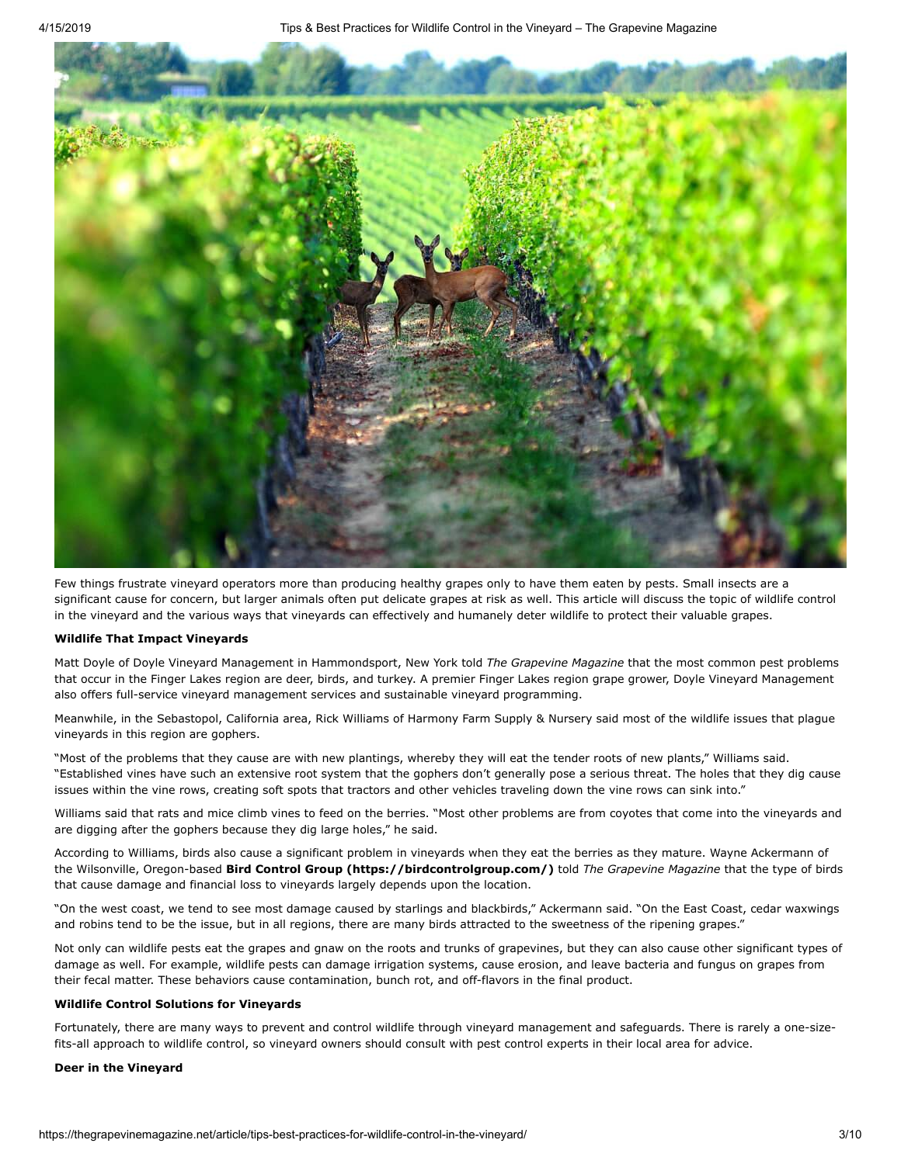

Few things frustrate vineyard operators more than producing healthy grapes only to have them eaten by pests. Small insects are a significant cause for concern, but larger animals often put delicate grapes at risk as well. This article will discuss the topic of wildlife control in the vineyard and the various ways that vineyards can effectively and humanely deter wildlife to protect their valuable grapes.

### **Wildlife That Impact Vineyards**

Matt Doyle of Doyle Vineyard Management in Hammondsport, New York told *The Grapevine Magazine* that the most common pest problems that occur in the Finger Lakes region are deer, birds, and turkey. A premier Finger Lakes region grape grower, Doyle Vineyard Management also offers full-service vineyard management services and sustainable vineyard programming.

Meanwhile, in the Sebastopol, California area, Rick Williams of Harmony Farm Supply & Nursery said most of the wildlife issues that plague vineyards in this region are gophers.

"Most of the problems that they cause are with new plantings, whereby they will eat the tender roots of new plants," Williams said. "Established vines have such an extensive root system that the gophers don't generally pose a serious threat. The holes that they dig cause issues within the vine rows, creating soft spots that tractors and other vehicles traveling down the vine rows can sink into."

Williams said that rats and mice climb vines to feed on the berries. "Most other problems are from coyotes that come into the vineyards and are digging after the gophers because they dig large holes," he said.

According to Williams, birds also cause a significant problem in vineyards when they eat the berries as they mature. Wayne Ackermann of the Wilsonville, Oregon-based **[Bird Control Group \(https://birdcontrolgroup.com/\)](https://birdcontrolgroup.com/)** told *The Grapevine Magazine* that the type of birds that cause damage and financial loss to vineyards largely depends upon the location.

"On the west coast, we tend to see most damage caused by starlings and blackbirds," Ackermann said. "On the East Coast, cedar waxwings and robins tend to be the issue, but in all regions, there are many birds attracted to the sweetness of the ripening grapes."

Not only can wildlife pests eat the grapes and gnaw on the roots and trunks of grapevines, but they can also cause other significant types of damage as well. For example, wildlife pests can damage irrigation systems, cause erosion, and leave bacteria and fungus on grapes from their fecal matter. These behaviors cause contamination, bunch rot, and off-flavors in the final product.

### **Wildlife Control Solutions for Vineyards**

Fortunately, there are many ways to prevent and control wildlife through vineyard management and safeguards. There is rarely a one-sizefits-all approach to wildlife control, so vineyard owners should consult with pest control experts in their local area for advice.

# **Deer in the Vineyard**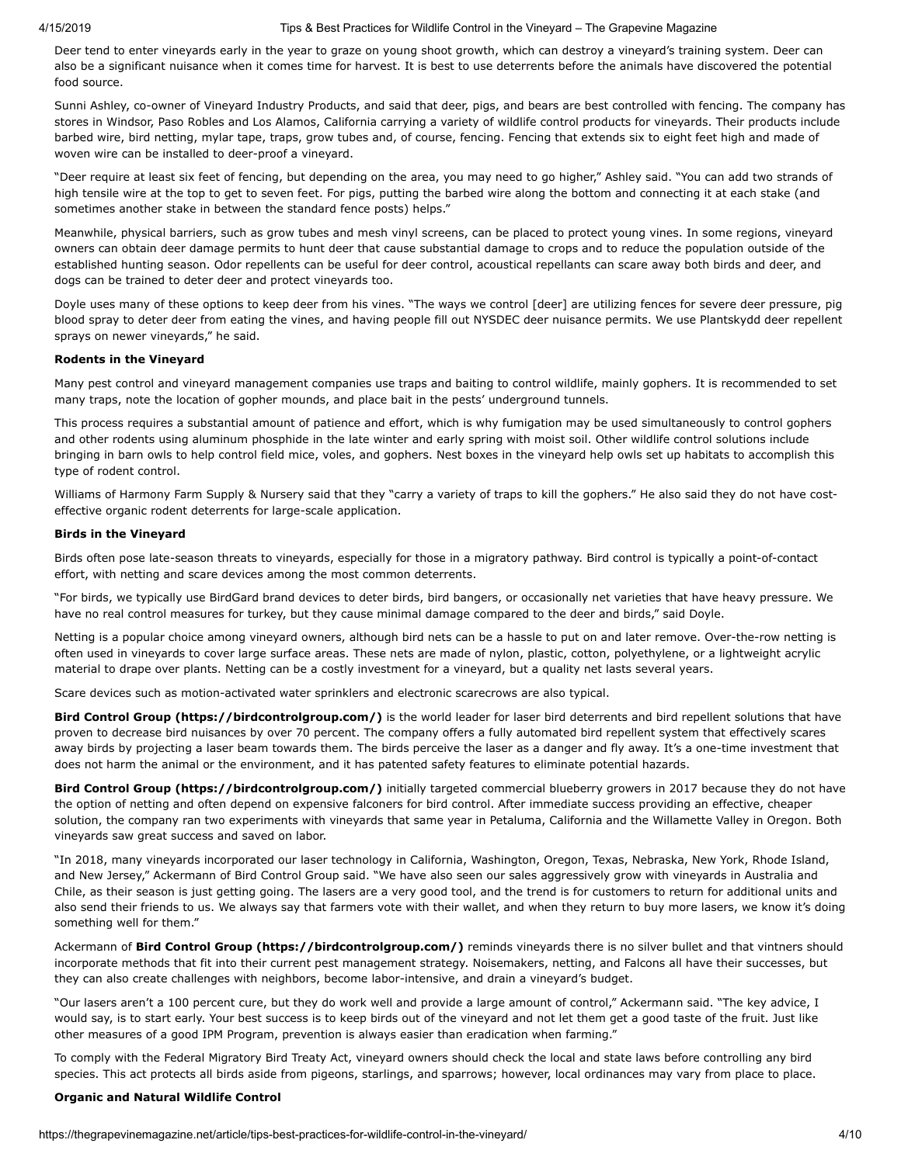#### 4/15/2019 Tips & Best Practices for Wildlife Control in the Vineyard – The Grapevine Magazine

Deer tend to enter vineyards early in the year to graze on young shoot growth, which can destroy a vineyard's training system. Deer can also be a significant nuisance when it comes time for harvest. It is best to use deterrents before the animals have discovered the potential food source.

Sunni Ashley, co-owner of Vineyard Industry Products, and said that deer, pigs, and bears are best controlled with fencing. The company has stores in Windsor, Paso Robles and Los Alamos, California carrying a variety of wildlife control products for vineyards. Their products include barbed wire, bird netting, mylar tape, traps, grow tubes and, of course, fencing. Fencing that extends six to eight feet high and made of woven wire can be installed to deer-proof a vineyard.

"Deer require at least six feet of fencing, but depending on the area, you may need to go higher," Ashley said. "You can add two strands of high tensile wire at the top to get to seven feet. For pigs, putting the barbed wire along the bottom and connecting it at each stake (and sometimes another stake in between the standard fence posts) helps."

Meanwhile, physical barriers, such as grow tubes and mesh vinyl screens, can be placed to protect young vines. In some regions, vineyard owners can obtain deer damage permits to hunt deer that cause substantial damage to crops and to reduce the population outside of the established hunting season. Odor repellents can be useful for deer control, acoustical repellants can scare away both birds and deer, and dogs can be trained to deter deer and protect vineyards too.

Doyle uses many of these options to keep deer from his vines. "The ways we control [deer] are utilizing fences for severe deer pressure, pig blood spray to deter deer from eating the vines, and having people fill out NYSDEC deer nuisance permits. We use Plantskydd deer repellent sprays on newer vineyards," he said.

# **Rodents in the Vineyard**

Many pest control and vineyard management companies use traps and baiting to control wildlife, mainly gophers. It is recommended to set many traps, note the location of gopher mounds, and place bait in the pests' underground tunnels.

This process requires a substantial amount of patience and effort, which is why fumigation may be used simultaneously to control gophers and other rodents using aluminum phosphide in the late winter and early spring with moist soil. Other wildlife control solutions include bringing in barn owls to help control field mice, voles, and gophers. Nest boxes in the vineyard help owls set up habitats to accomplish this type of rodent control.

Williams of Harmony Farm Supply & Nursery said that they "carry a variety of traps to kill the gophers." He also said they do not have costeffective organic rodent deterrents for large-scale application.

# **Birds in the Vineyard**

Birds often pose late-season threats to vineyards, especially for those in a migratory pathway. Bird control is typically a point-of-contact effort, with netting and scare devices among the most common deterrents.

"For birds, we typically use BirdGard brand devices to deter birds, bird bangers, or occasionally net varieties that have heavy pressure. We have no real control measures for turkey, but they cause minimal damage compared to the deer and birds," said Doyle.

Netting is a popular choice among vineyard owners, although bird nets can be a hassle to put on and later remove. Over-the-row netting is often used in vineyards to cover large surface areas. These nets are made of nylon, plastic, cotton, polyethylene, or a lightweight acrylic material to drape over plants. Netting can be a costly investment for a vineyard, but a quality net lasts several years.

Scare devices such as motion-activated water sprinklers and electronic scarecrows are also typical.

**[Bird Control Group \(https://birdcontrolgroup.com/\)](https://birdcontrolgroup.com/)** is the world leader for laser bird deterrents and bird repellent solutions that have proven to decrease bird nuisances by over 70 percent. The company offers a fully automated bird repellent system that effectively scares away birds by projecting a laser beam towards them. The birds perceive the laser as a danger and fly away. It's a one-time investment that does not harm the animal or the environment, and it has patented safety features to eliminate potential hazards.

**[Bird Control Group \(https://birdcontrolgroup.com/\)](https://birdcontrolgroup.com/)** initially targeted commercial blueberry growers in 2017 because they do not have the option of netting and often depend on expensive falconers for bird control. After immediate success providing an effective, cheaper solution, the company ran two experiments with vineyards that same year in Petaluma, California and the Willamette Valley in Oregon. Both vineyards saw great success and saved on labor.

"In 2018, many vineyards incorporated our laser technology in California, Washington, Oregon, Texas, Nebraska, New York, Rhode Island, and New Jersey," Ackermann of Bird Control Group said. "We have also seen our sales aggressively grow with vineyards in Australia and Chile, as their season is just getting going. The lasers are a very good tool, and the trend is for customers to return for additional units and also send their friends to us. We always say that farmers vote with their wallet, and when they return to buy more lasers, we know it's doing something well for them."

Ackermann of **[Bird Control Group \(https://birdcontrolgroup.com/\)](https://birdcontrolgroup.com/)** reminds vineyards there is no silver bullet and that vintners should incorporate methods that fit into their current pest management strategy. Noisemakers, netting, and Falcons all have their successes, but they can also create challenges with neighbors, become labor-intensive, and drain a vineyard's budget.

"Our lasers aren't a 100 percent cure, but they do work well and provide a large amount of control," Ackermann said. "The key advice, I would say, is to start early. Your best success is to keep birds out of the vineyard and not let them get a good taste of the fruit. Just like other measures of a good IPM Program, prevention is always easier than eradication when farming."

To comply with the Federal Migratory Bird Treaty Act, vineyard owners should check the local and state laws before controlling any bird species. This act protects all birds aside from pigeons, starlings, and sparrows; however, local ordinances may vary from place to place.

# **Organic and Natural Wildlife Control**